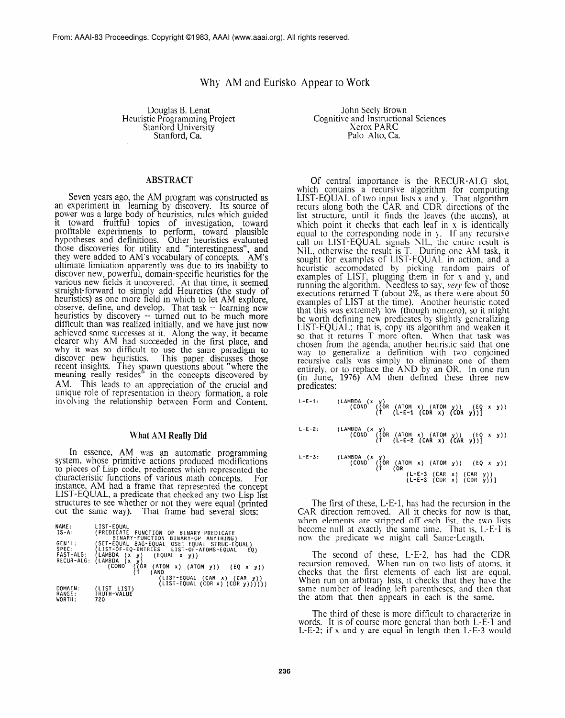# Why AM and Eurisko Appear to Work

Douglas B. Lenat Heuristic Programming Project Stanford University Stanford, Ca.

## ABSTRACT

Seven years ago, the AM program was constructed as an experiment in learning by discovery. Its source of power was a large body of heuristics, rules which guided it toward fruitful topics of investigation, toward profitable experiments to perform, toward plausible hypotheses and definitions. Other heuristics evaluated those discoveries for utility and "interestingness", and they were added to AM's vocabulary of concepts. AM's ultimate limitation apparently was due to its Inability to discover new, powerful, domain-specific heuristics for the various new fields it uncovered. At that time, it seemed straight-forward to simply add Heuretics (the study of heuristics) as one more field in which to let AM explore, observe, define, and develop. That task -- learning new  $h_{\text{H}}$  heuristics by discovery  $-$  turned out to be much more difficult than was realized initially, and we have just now achieved some successes at it. Along the way, it became clearer why AM had succeeded in the first place, and why it was so difficult to use the same paradigm to discover new heuristics. This paper discusses those discover new heuristics. This paper discusses those recent insights. They spawn questions about "where the meaning really resides in the concepts discovered by AM. This leads to an appreciation of the crucial and unique role of representation in theory formation, a role involving the relationship between Form and Content.

#### What AM Really Did

In essence, AM was an automatic programming system, whose primitive actions produced modifications system, whose primitive actions produced modification to pieces of Lisp code, predicates which represented the characteristic functions of various math concepts. For instance, AM had a frame that represented the concept LIST-EQUAL, a predicate that checked any two Lisp list LIST-EQUAL, a predicate that checked any two Lisp list structures to see whether or not they were equal (printed<br>out the same would That from a had sayoral clatar

| NAME:      | <b>LIST-EOUAL</b>                                                   |
|------------|---------------------------------------------------------------------|
| $IS-A:$    | (PREDICATE)<br>FUNCTION<br>OP BINARY-PREDICATE                      |
|            | BINARY-FUNCTION<br>BINARY-OP<br>ANYTHING)                           |
| GEN'L:     | (SET-EQUAL BAG-EQUAL OSET-EQUAL STRUC-EQUAL)                        |
| SPEC:      | LIST-OF-EQ-ENTRIES LIST-OF-ATOMS-EQUAL<br>EO)                       |
| FAST-ALG:  | LAMBDA<br>(EQUAL x<br>(x)<br>y)<br>y))                              |
| RECUR-ALG: | (x)<br>(LAMBDA<br>y)                                                |
|            | (COND)<br>((OR<br>(ATOM<br>(ATOM<br>x)<br>y))<br>$(EQ \times y)$    |
|            | (AND                                                                |
|            | $(LIST-EQUAL (CAR x) (CAR y))$<br>$(LIST-EQUAL (CDR x) (CDR y)))))$ |
|            |                                                                     |
| DOMAIN:    | LIST)<br>(LIST                                                      |
| RANGE:     | ŤRUTH-VALUE                                                         |
| WORTH:     | 720                                                                 |

John Seely Brown Cognitive and Instructional Sciences Xerox PARC Palo Alto, Ca.

Of central importance is the RECUR-ALG slot, which contains a recursive algorithm for computing LIST-EQUAL OF two input lists  $x$  and  $y$ . That algorithm recurs along both the CAR and CDR directions of the list structure, until it finds the leaves (the atoms), at which point it checks that each leaf in N is identically equal to the corresponding node in y. If any recursive call on LIST-EQUAL signals  $N_{\text{LL}}$ , the entire result is KlL, otherwise the result is T. During one NM task, it sought for examples of  $LISI$ -EQUAL in action, and a heuristic accomodated by picking random pairs of examples of LIST, plugging them m for x and y, and running the algorithm. Needless to say, very lew of those executions returned  $\Gamma$  (about 2%, as there were about 50 examples of LIST at the time). Another heuristic noted that this was extremely IOM (though nonzero), so it might be worth defining new predicates by slightly- generalizing LIST-EQUAL; that is, copy its algorithm and weaken it so that it returns I more often. When that task was chosen from the agenda, another heuristic said that one way to generalize a definition with two conjoined recursive calls was simply to eliminate one of them entirely, or to replace the AND by an OR. In one run (in June, 1970) AM then defined these three new predicates: '

| $L-E-1:$  | (LAMBDA (* y)<br>(COND (1) (ATOM x) (ATOM y)) (EQ x y))<br>(T (L-E-1 (CDR x) (CDR y))]                              |  |  |  |
|-----------|---------------------------------------------------------------------------------------------------------------------|--|--|--|
| $L-E-2:$  | (LAMBDA (x y)<br>(COND ((OR (ATOM x) (ATOM y)) (EQ x y))<br>(T (L-E-2 (CAR x) (CAR y))]                             |  |  |  |
| $L-E-3$ : | (LAMBDA (x y)<br>(COND (YOR (ATOM x) (ATOM y)) (EQ x y))<br>(DR (L-E-3 (CAR x) (CAR y))<br>(L-E-3 (CDR x) (CDR y))] |  |  |  |

out the same way). That frame had several slots: *zero under the moved. All it criecks* for now is that the studies The first of these, L-E-1, has had the recursion in the when elements are stripped off each list, the two lists become null at exactly the same time. That is,  $L-E-1$  is become null at exactI\ the same time. That is, L-E-l is noM the predicate be might call Same-Length.

**LAMBDA (x y) zyxwvutsrqponmlkjihgfedcbaZYXWVUTSRQPONMLKJIHGFEDCBA (EQUAL x y))**  The second of these, L-E-2, has had the CDR recursion removed. When run on two lists of atoms, it checks that the first elements of each list are equal. When run on arbitrary lists, it checks that they have the When run on arbitrary lists, it checks that they have the same number of leading left parentheses, and their that<br>the etern that than annears in each is the same the atom that then appears in each is the same.

> The third of these is more difficult to characterize in words. It is of course more general than both L-E-1 and words. It is of course more general than both L-E-l and<br>L-E-2: if y and y are gougl in langth than L-E-2 would L-E-2; if x and y are equal in length then L-E-3 would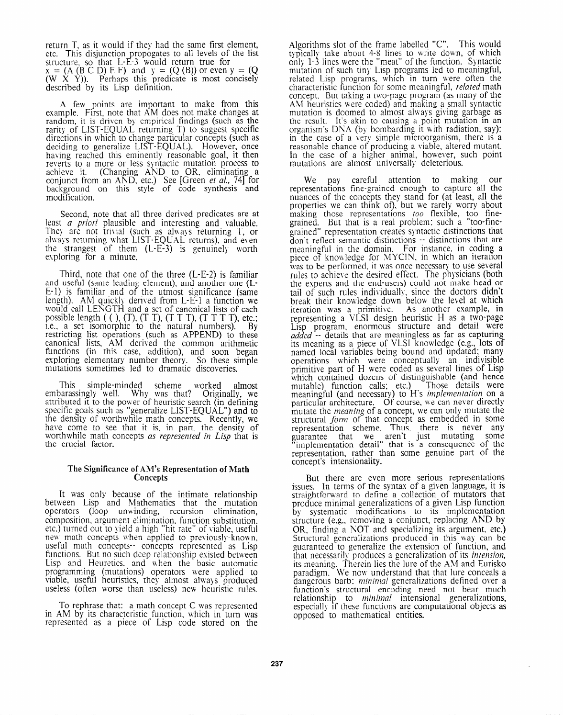return T, as it would if they had the same first element, etc. This disjunction propogates to all levels of the list structure. so that L-E-3 would return true for  $x = (A (B C D) E F)$  and  $y = (Q (B))$  or even  $y = (Q$ (W  $\hat{X}$  Y)). Perhaps this predicate is most concisely described by its Lisp definition.

A few points are important to make from this example. First, note that AM does not make changes at random, it is driven by empirical findings (such as the rarity of LIST-EQUAL returning T) to suggest specific directions in which to change particular concepts (such as deciding to generalize LIST-EQUAL). However, once having reached this eminently reasonable goal, it then reverts to a more or less syntactic mutation process to achieve it. (Changing  $AND$  to OR, eliminating a conjunct from an AND, etc.) See [Green *et al.*, 74] for **the all conditional activation** to making our background on this style of code synthesis and modification.

Second, note that all three derived predicates are at least *a priori* plausible and interesting and valuable. They are not trivial (such as always returning T, or always returning what  $LISI-EQUAL$  returns), and even the strangest of them (L-E-3) is genuinely worth exploring for a minute.

Third, note that one of the three (L-E-2) is familiar and useful (same leading element), and another one  $(L$ E-l) is familiar and of the utmost significance (same length). AM quickly derived from L-E-l a function we would call LENGTH and a set of canonical lists of each possible length ( ( ), (1), (1–1), (1–1–1), (1–1–1–1), etc.; i.e., a set isomorphic to the natural numbers). By restricting list operations (such as APPEND) to these canonical lists, AM derived the common arithmetic functions (in this case, addition), and soon began exploring elementary number theory. So these simple mutations sometimes led to dramatic discoveries.

This simple-minded scheme worked almost embarassingly well. Why was that? Originally, we attributed it to the power of heuristic search (in defining specific goals such as "generalize LIST-EQUAL") and to the density of worthwhile math concepts. Recently, we have come to see that it is, in part, the density of worthwhile math concepts *as represented in Lisp* that is the crucial factor.

#### The Significance of AN's Representation of Math Concepts

It was only because of the intimate relationship between Lisp and Mathematics that the mutation operators (loop unwinding, recursion elimination, composition, argument elimination. function substitution, etc.) turned out to yield a high "hit rate" of viable, useful new math concepts when applied to previously-known, useful math concepts-- concepts represented as Lisp functions. But no such deep relationship existed between Lisp and Heuretics, and when the basic automatic programming (mutations) operators N ere applied to viable, useful heuristics, they almost always produced useless (often worse than useless) new heuristic rules.

To rephrase that: a math concept C was represented in AM by its characteristic function, which in turn was represented as a piece of Lisp code stored on the Algorithms slot of the frame labelled "C". This would typically take about 4-S lines to write down, of which only 1-3 lines were the "meat" of the function. Syntactic mutation of such tiny Lisp programs led to meaningful, related Lisp programs, which in turn were often the characteristic function for some meaningful, *related* math concept. But taking a two-page program (as many of the AV heuristics were coded) and makmg a small syntactic mutation is doomed to almost always giving garbage as the result. It's akin to causing a point mutation in an organism's DNA (by bombarding it with radiation, say): in the case of a very simple microorganism, there is a reasonable chance of producing a viable, altered mutant. In the case of a higher animal, however, such point mutations are almost universally deleterious.

We pay careful attention to making our representations fine-grained enough to capture all the nuances of the concepts they stand for (at least, all the properties we can think of), but we rarely worry about making those representations *too* flexible, too fmegrained. But that is a real problem: such a "too-fine-<br>grained" representation creates syntactic distinctions that grained" representation creates syntactic distinctions that don't reflect semantic distinctions -- distinctions that are meaningful in the domain. For instance, in couing a piece of knowledge for MYCIN, in which an iteration was to be performed, it was once necessary to use several rules to achieve the desired effect. The physicians (both the experts and the end-users) could not make head or tail of such rules individually, since the doctors didn't break their knowledge down below the level at which iteration was a primitive. As another example, in representing a VLSI design heuristic H as a two-page Lisp program, enormous structure and detail were *added* -- details that are meaningless as far as capturing its meaning as a piece of VLSI knowledge (e.g., lots of named local variables being bound and updated; many operations which were conceptually an indivisible primitive part of H were coded as several lines of Lisp which contained dozens of distinguishable (and hence mutable) function calls; etc.) Those details were mutable) function calls, etc.) The meaningful (and necessary) to H's *implementation* on a meaningful (and necessary) to H's *implementation* on a particular architecture. Of course, ne can never directly mutate the *meaning* of a concept, we can only mutate the structural *form* of that concept as embedded in some representation scheme. Thus, there is never any guarantee that we aren't just mutating some "implementation detail" that is a consequence of the representation, rather than some genuine part of the concept's intensionality.

But there are even more serious representations issues. In terms of the syntax of a given language, it is straightforward to define a collection of mutators that produce minimal generalizations of a given Lisp function by systematic modifications to its implementation structure (e.g., removing a conjunct, replacing AXD by OR, finding a NOT and specializing its argument, etc.) Structural generalizations produced in this way can be guaranteed to generalize the extension of function, and guaranteed to generalize the extension of function, and that necessarih. produces a generalization of its *intension,*  its meaning. -i'herein lies the lure of the AM and Eurisko paradigm. We now understand that that fure conceals a dangerous barb: *minimal* generalizations defined over a function's structural encoding need not bear much relationship to *minimal* intensional generalizations, especially if these functions are computational objects as opposed to mathematical entities.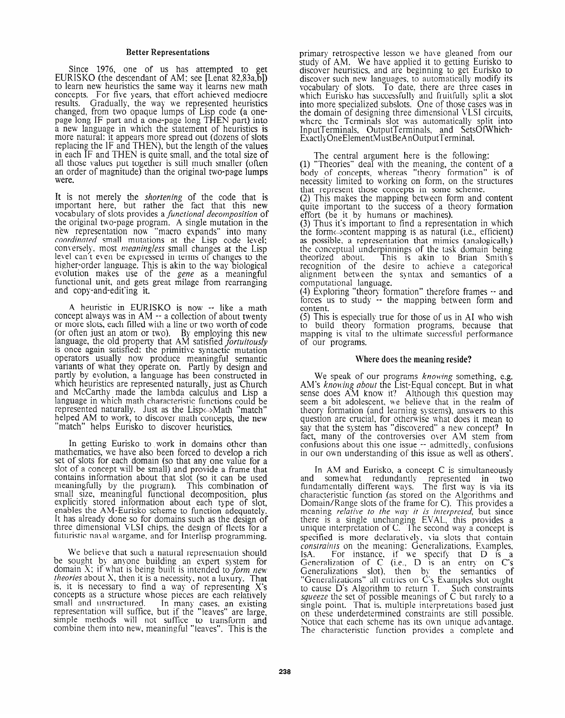#### Better Representations

Since 1976, one of us has attempted to get EURISKO (the descendant of AM; see [Lenat 82,83a,b]) to learn new heuristics the same way it learns new math concepts. For five years, that effort achieved mediocre results. Gradually, the way we represented heuristics changed, from two opaque lumps of Lisp code (a onepage long IF part and a one-page long THEN part) into a new language in which the statement of heuristics is more natural: it appears more spread out (dozens of slots replacing the IF and THEN), but the length of the values in each IF and THEN is quite small, and the total size of all those values put together is still much smaller (often an order of magnitude) than the original two-page lumps were.

It is not merely the shortening of the code that is important here, but rather the fact that this new vocabulary of slots provides a *functional decomposition* of the original two-page program. A single mutation in the new representation now "macro expands" into many *coordinnted* small mutations at the Lisp code level: conversely. most *\:leaningless* small changes at the Lisp level can't e\'en be expressed in terms of changes to the higher-order language. This is akin to the way biological evolution makes use of the *gene* as a meaningful functional unit, and gets great milage from rearranging and copy-and-edit'ing it.

A heuristic in EURISKO is now -- like a math concept always was in AM -- a collection of about twenty or more slots, each filled with a line or two worth of code (or often just an atom or two). By employing this new language, the old property that A-M satisfied *fortuitously*  is once again satisfied: the primitive syntactic mutation operators usually now produce meaningful semantic variants of what they operate on. Partly by design and partly by evolution, a language has been constructed in which heuristics are represented naturally, just as Church and McCarthy made the lambda calculus and Lisp a language in which math characteristic functions could be represented naturally. Just as the Lisps-SMath match helped AM to work, to discover math concepts, the new match helps Eurisko to discover heuristics.

In getting Eurisko to work in domains other than mathematics, we have also been forced to develop a rich set of slots for each domain (so that any one value for a set of slots for each domain (so that any one value for a slot of a concept will be small) and provide a frame that contains information about that slot (so it can be used meaningfully by the program). This combination of small size, meaningful functional decomposition, plus explicitly stored information about each type of slot, enables the AM-Eurisko scheme to function adequately. It has already done so for domains such as the design of three dimensional vlast chips, the design of fleets for a futuristic nai al wargame, and for lnterhsp programming.

We believe that such a natural representation should be sought by anyone building an expert system for domain X: if what is oeing outlit is intended to *form new* Generalizations slot), then by the s *theories* about X, then it is a necessity, not a luxury. That is, it is necessary to find a way of representing  $X$ 's concepts as a structure whose pieces are each relatively concepts as a structure whose pieces are each relatively small and unstructured. In many cases, all existing representation will suffice, but if the "leaves" are large,  $\frac{1}{2}$  methods will not suffice to transform and combine them into new, meaningful "leaves". This is the

primary retrospective lesson we have gleaned from our study of AM. We have applied it to getting Eurisko to discover heuristics. and are beginning to get Eurisko to discover such new languages, to automatically modify its vocabulary of slots. To date. there are three cases in which Eurisko has successfully and fruitfully split a slot into more specialized subslots. One of those cases was in the domain of designing three dimensional VLSI circuits, where the Terminals slot was automatically split into InputTerminals, OutputTerminals, and SetsOfWhich-ExactlyOneElementMustBeAnOutputTerminal.

The central argument here is the following:  $(1)$  Theories" deal with the meaning, the content of a body of concepts, whereas "theory formation" is of necessity limited to working on form, on the structures that represent those concepts in some scheme.

(2) This makes the mapping between form and content quite important to the success of a theory formation effort (be it by humans or machines).

(3) Thus it's important to find a representation in which the form solution to mapping is as natural (i.e., efficient) as possible, a representation that mimics (analogically) the conceptual underpinnings of the task domain bein theorized about. This is akin to Brian Smith's recognition of the desire to achieve a categorical alignment between the syntax and semantics of a computational language.

 $(4)$  Exploring "theory formation" therefore frames  $-$  and forces us to study -- the mapping between form and content.

(5) This is especially true for those of us in AI who wish to build theory formation programs, because that mapping is vital to the ultimate successful performance of our programs.

## Where does the meaning reside?

We speak of our programs *knowing* something, e.g. AM's *knowing about* the List-Equal concept. But in what sense does AM know it? Although this question may seem a bit adolescent, we believe that in the realm of theory formation (and learning systems), answers to this question are crucial, for otherwise what does it mean to say that the system has "discovered" a new concept? In fact, many of the controversies over AM stem from confusions about this one issue -- admittedly, confusion in our own understanding of this issue as well as others'.

and somewhat redundantly represented in two In  $AM$  and Eurisko, a concept  $C$  is simultaneously fundamentally different ways. The first way is via its characteristic function (as stored on the Algorithms and Domain/Range slots of the frame for C). This provides a meani?g *relative to the WOJ it is interpreted,* but since there 1s a single unchanging EVAL, this provides a unique interpretation of C. The second way a concept is specified is more declaratively, via slots that contains *corzstraiuts* on the meaning: Generalizations, Examples, **ISA.** FOI INSTANCE, if we specify that D is a  $G$ eneralization of C (i.e.,  $D$  is an entry on CS Generalizations slot). then by the semantics of Generalizations" all entries on C's Examples slot ought to cause  $D$ 's Algorithm to return  $T$ . Such constrain squeeze the set of possible meanings of C but rarely to a single point. That is. multiple interpretations based just on these underdetermined constraints are still possible.<br>Notice that each scheme has its own unique advantage. Sotice that each scheme has its ow'n unique advantage. The characteristic function provides a complete and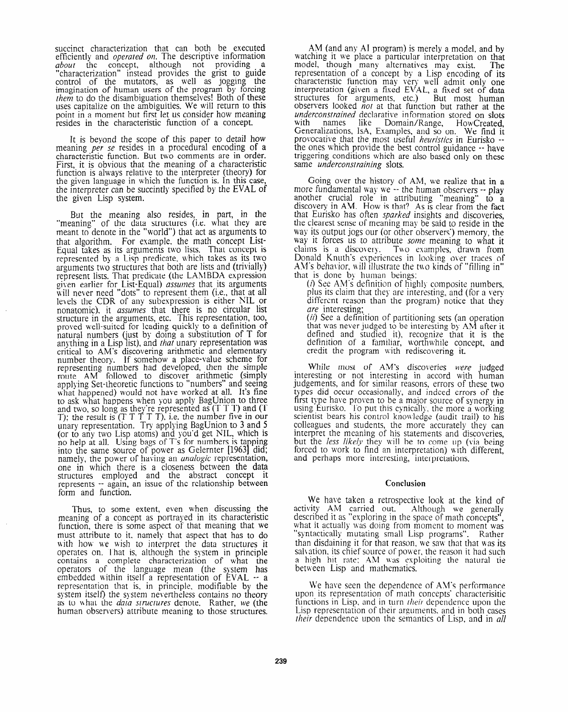succinct characterization that can both be executed **AM** (and any AI program efficiently and *operated on*. The descriptive information watching it we place a partic *about* the concept, although not providing a "characterization" instead provides the grist to guide control of the mutators, as well as jogging the imagination of human users of the program by forcing *them* to do the disambiguation themselves! Both of these uses capitalize on the ambiguities. We will return to this point in a moment but first let us consider how meaning resides in the characteristic function of a concept.

It is beyond the scope of this paper to detail how meaning *per se* resides in a procedural encoding of a characteristic function. But two comments are in order. First, it *is* obvious that the meaning of a characteristic function is always relative to the interpreter (theory) for the given language in which the function is. In this case, the interpreter can be succintly specified by the EVAL of the given Lisp system.

But the meaning also resides, in part, in the "meaning" of the data structures (i.e. what they are meant to denote in the "world") that act as arguments to that algorithm. For example. the math concept List-Equal takes as its arguments two lists. That concept is represented by a Lisp predicate, which takes as its two arguments two structures that both are lists and (trivially) represent lists. That predicate (the LAMBDA expression niven earlier for List-Equal) *assumes* that its arguments will never need "dots" to represent them (i.e., that at all levels the CDR of any subexpression is either NIL or levels the CDR of any subexpression is either NIL or nonatomic), it *assumes* that there is no circular list structure in the arguments, etc. This representation, too, proved well-suited for leading quickly to a definition of proved well-suited for leading quickly to a definition of natural numbers (just by doing a substitution of T for an\.thing in a Lisp list), and *that* unary representation was critical to AM's discovering aritmetic and elementary number theory. If somehow a place-value scheme for representing numbers had developed, then the simple route AM followed to discover arithmetic (simply applying Set-theoretic functions to "numbers" and seeing<br>what happened) would not have worked at all. It's fine what happened) would not have worked at all. It's fine to ask what happens when you apply BagUnion to three to ask what happens when you apply baguinon to three<br>and two so long as they're represented as (T T T) and (T and two, so long as they're represented as  $(TT)$  and  $(TT)$  in our  $T_j$ , the result is (T T T T T), i.e. the number five in our (or to any two Lisp atoms) and you'd get NIL, which is no help at all. Using bags of T's for numbers is tapping but the less likely they will be to come up (via being no help at all. Using bags of T's for numbers is tapping<br>into the came course of nower as Gelernter [1963] did' namely, the power of having an *analogic* representation, did; one in which there is a closeness between the data structures employed and the abstract concept it structures employed and the abstract concept it represents -- again, an issue of the relationship between<br>form and function form and function.

Thus, to some extent, even when discussing the meaning of a concept as portrayed in its characteristic function, there is some aspect of that meaning that we must attribute to it, namely that aspect that has to do with how we wish to interpret the data structures it operates on. That is, although the system in principle operates on. That is, although the system in principle contains a complete characterization of what the operators of the language mean (the system has representation that is, in principle, modifiable by the system itself) the system nevertheless contains no theory as to what the data structures denote. Rather, we (the as to what the *data structures* denote. Rather, ,ve (the human observers) attribute meaning to those structures.

AM (and any AI program) is merely a model, and by watching it we place a particular interpretation on that model, though many alternatives may exist. The representation of a concept by a Lisp encoding of its characteristic function may very well admit only one interpretation (given a fixed EVAL, a fixed set of data structures for arguments, etc.) But most human observers looked *not* at that function but rather at the *underconstrained* declarative information stored on slots names like Domain/Range, HowCreated, Generalizations, IsA, Examples, and so on. We find it provocative that the most useful *heuristics* in Eurisko - the ones which provide the best control guidance -- have triggering conditions which are also based only on these *same underconstraining slots.* 

Going over the history of AM, we realize that in a more fundamental way we -- the human observers -- play another crucial role in attributing "meaning" to a discovery in AM. How is that? As is clear from the fact that Eurisko has often *sparked* insights and discoveries, the clearest sense of meaning may be said to reside in the way its output jogs our (or other observers') memory, the way it forces us to attribute some meaning to what it claims is a discovery. Two examples, drawn from Donald Knuth's experiences in looking o\er traces of AIM's behavior, will illustrate the two kinds of "filling in" that is done by human beings:

 $(i)$  See AM's definition of highly composite numbers, plus its claim that they. are interesting, and (for a very different reason than the program) notice that they *are* interesting;

(ii) See a definition of partitioning sets (an operation that was never judged to be interesting by AM after it defined and studied it), recognize that it is the definition of a familiar, worthwhile concept, and credit the program with rediscovering it.

While most of A-M's discoveries *were* judged interesting or not interesting in accord with human judgements, and for similar reasons, errors of these two types did occur occasionally, and indeed errors of the types did occur occasionally, and indeed errors of the first type have proven to be a major source of synergy in using Eurisko. To put this cynically, the more a working scientist bears his control knowledge (audit trail) to his colleagues and students, the more accurately they can interpret the meaning of his statements and discoveries, but the less *likely* they will be to come up (via being forced to work to find an interpretation) with different and perhaps more interesting, interpretations.

#### Conclusion

We have taken a retrospective look at the kind of activity AM carried out. Although we generally described it as "exploring in the space of math concepts" "syntactically mutating small Lisp programs". Rather than disdaining it for that reason, we saw that that was its salvation, its chief source of power, the reason it had such a high hit rate; AM was exploiting the natural tie a high hit rate: AM was exploiting the natural tie between Lisp and mathematics.

We have seen the dependence of AM's performance upon its representation of math concepts' characterisitic functions in Lisp, and in turn *their* dependence upon the Lisp representation of their arguments, and in both cases Eisp representation of their arguments, and in both cases *their* dependence **upon** the semantics of Lisp, and in *all*